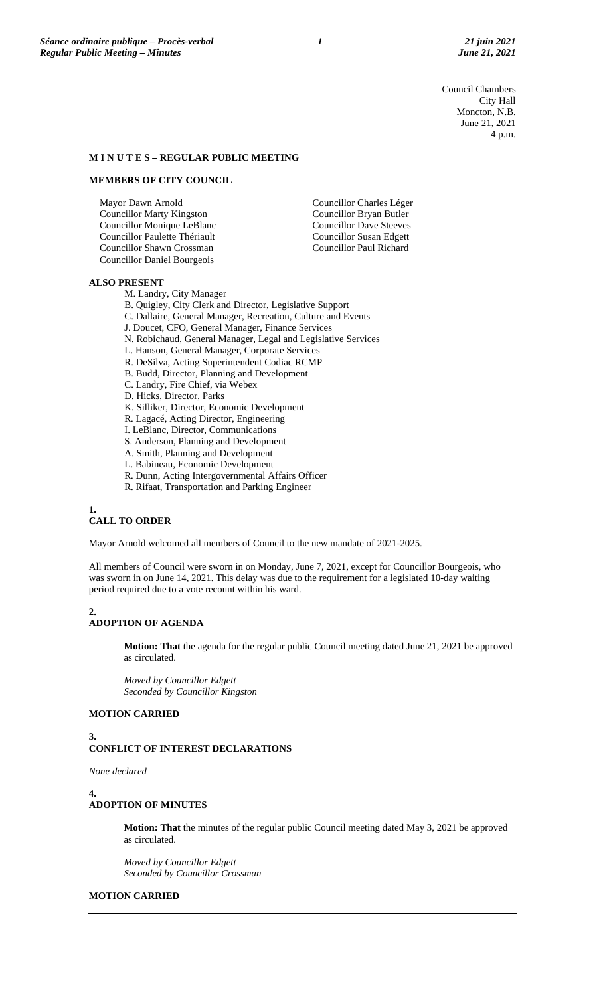Council Chambers City Hall Moncton, N.B. June 21, 2021 4 p.m.

#### **M I N U T E S – REGULAR PUBLIC MEETING**

## **MEMBERS OF CITY COUNCIL**

Mayor Dawn Arnold Councillor Marty Kingston Councillor Monique LeBlanc Councillor Paulette Thériault Councillor Shawn Crossman Councillor Daniel Bourgeois

## Councillor Bryan Butler Councillor Dave Steeves Councillor Susan Edgett Councillor Paul Richard

Councillor Charles Léger

#### **ALSO PRESENT**

- M. Landry, City Manager
- B. Quigley, City Clerk and Director, Legislative Support
- C. Dallaire, General Manager, Recreation, Culture and Events
- J. Doucet, CFO, General Manager, Finance Services
- N. Robichaud, General Manager, Legal and Legislative Services
- L. Hanson, General Manager, Corporate Services
- R. DeSilva, Acting Superintendent Codiac RCMP
- B. Budd, Director, Planning and Development
- C. Landry, Fire Chief, via Webex
- D. Hicks, Director, Parks
- K. Silliker, Director, Economic Development
- R. Lagacé, Acting Director, Engineering
- I. LeBlanc, Director, Communications
- S. Anderson, Planning and Development
- A. Smith, Planning and Development
- L. Babineau, Economic Development
- R. Dunn, Acting Intergovernmental Affairs Officer
- R. Rifaat, Transportation and Parking Engineer

## **1.**

### **CALL TO ORDER**

Mayor Arnold welcomed all members of Council to the new mandate of 2021-2025.

All members of Council were sworn in on Monday, June 7, 2021, except for Councillor Bourgeois, who was sworn in on June 14, 2021. This delay was due to the requirement for a legislated 10-day waiting period required due to a vote recount within his ward.

#### **2. ADOPTION OF AGENDA**

**Motion: That** the agenda for the regular public Council meeting dated June 21, 2021 be approved as circulated.

*Moved by Councillor Edgett Seconded by Councillor Kingston*

## **MOTION CARRIED**

#### **3. CONFLICT OF INTEREST DECLARATIONS**

*None declared*

**4.**

#### **ADOPTION OF MINUTES**

**Motion: That** the minutes of the regular public Council meeting dated May 3, 2021 be approved as circulated.

*Moved by Councillor Edgett Seconded by Councillor Crossman*

## **MOTION CARRIED**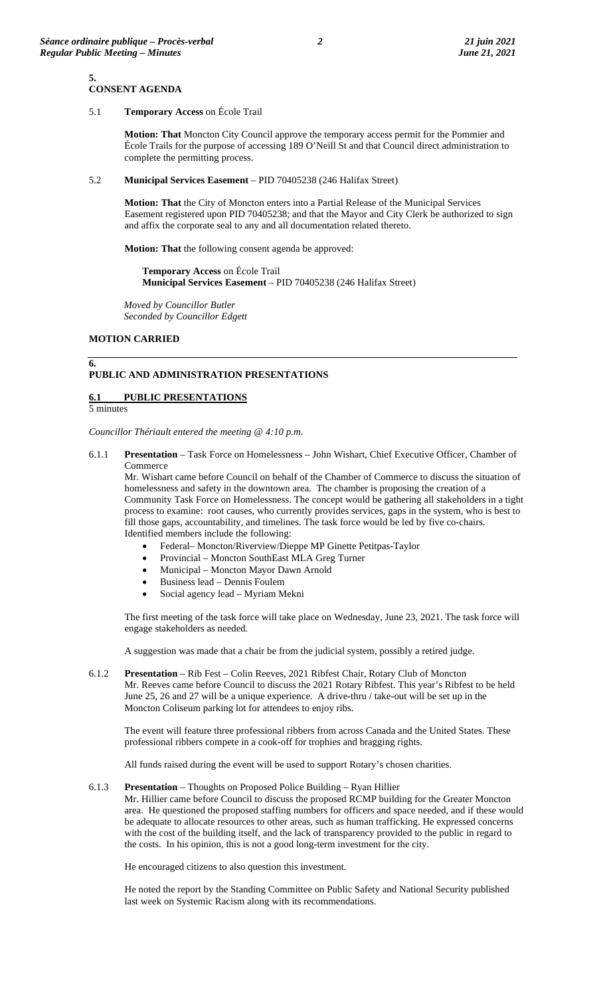**Motion: That** Moncton City Council approve the temporary access permit for the Pommier and École Trails for the purpose of accessing 189 O'Neill St and that Council direct administration to complete the permitting process.

#### 5.2 **Municipal Services Easement** – PID 70405238 (246 Halifax Street)

**Motion: That** the City of Moncton enters into a Partial Release of the Municipal Services Easement registered upon PID 70405238; and that the Mayor and City Clerk be authorized to sign and affix the corporate seal to any and all documentation related thereto.

**Motion: That** the following consent agenda be approved:

**Temporary Access** on École Trail **Municipal Services Easement** – PID 70405238 (246 Halifax Street)

*Moved by Councillor Butler Seconded by Councillor Edgett*

#### **MOTION CARRIED**

## **PUBLIC AND ADMINISTRATION PRESENTATIONS**

## **6.1 PUBLIC PRESENTATIONS**

5 minutes

**6.**

*Councillor Thériault entered the meeting @ 4:10 p.m.*

6.1.1 **Presentation** – Task Force on Homelessness – John Wishart, Chief Executive Officer, Chamber of Commerce

Mr. Wishart came before Council on behalf of the Chamber of Commerce to discuss the situation of homelessness and safety in the downtown area. The chamber is proposing the creation of a Community Task Force on Homelessness. The concept would be gathering all stakeholders in a tight process to examine: root causes, who currently provides services, gaps in the system, who is best to fill those gaps, accountability, and timelines. The task force would be led by five co-chairs. Identified members include the following:

- Federal– Moncton/Riverview/Dieppe MP Ginette Petitpas-Taylor
- Provincial Moncton SouthEast MLA Greg Turner
- Municipal Moncton Mayor Dawn Arnold
- Business lead Dennis Foulem
- Social agency lead Myriam Mekni

The first meeting of the task force will take place on Wednesday, June 23, 2021. The task force will engage stakeholders as needed.

A suggestion was made that a chair be from the judicial system, possibly a retired judge.

6.1.2 **Presentation** – Rib Fest – Colin Reeves, 2021 Ribfest Chair, Rotary Club of Moncton Mr. Reeves came before Council to discuss the 2021 Rotary Ribfest. This year's Ribfest to be held June 25, 26 and 27 will be a unique experience. A drive-thru / take-out will be set up in the Moncton Coliseum parking lot for attendees to enjoy ribs.

The event will feature three professional ribbers from across Canada and the United States. These professional ribbers compete in a cook-off for trophies and bragging rights.

All funds raised during the event will be used to support Rotary's chosen charities.

## 6.1.3 **Presentation** – Thoughts on Proposed Police Building – Ryan Hillier

Mr. Hillier came before Council to discuss the proposed RCMP building for the Greater Moncton area. He questioned the proposed staffing numbers for officers and space needed, and if these would be adequate to allocate resources to other areas, such as human trafficking. He expressed concerns with the cost of the building itself, and the lack of transparency provided to the public in regard to the costs. In his opinion, this is not a good long-term investment for the city.

He encouraged citizens to also question this investment.

He noted the report by the Standing Committee on Public Safety and National Security published last week on Systemic Racism along with its recommendations.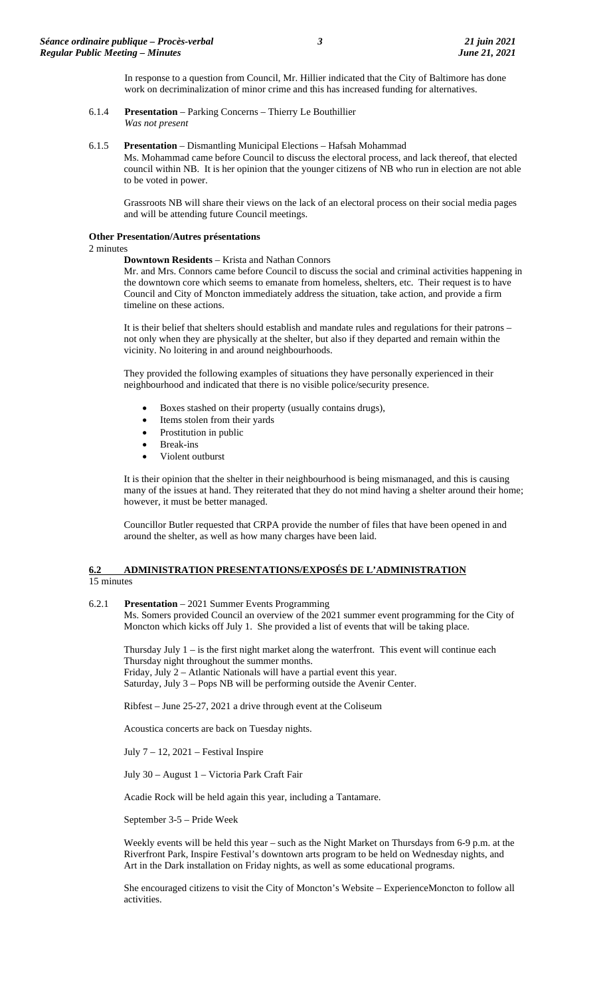In response to a question from Council, Mr. Hillier indicated that the City of Baltimore has done work on decriminalization of minor crime and this has increased funding for alternatives.

6.1.4 **Presentation** – Parking Concerns – Thierry Le Bouthillier *Was not present*

#### 6.1.5 **Presentation** – Dismantling Municipal Elections – Hafsah Mohammad

Ms. Mohammad came before Council to discuss the electoral process, and lack thereof, that elected council within NB. It is her opinion that the younger citizens of NB who run in election are not able to be voted in power.

Grassroots NB will share their views on the lack of an electoral process on their social media pages and will be attending future Council meetings.

#### **Other Presentation/Autres présentations**

2 minutes

#### **Downtown Residents** – Krista and Nathan Connors

Mr. and Mrs. Connors came before Council to discuss the social and criminal activities happening in the downtown core which seems to emanate from homeless, shelters, etc. Their request is to have Council and City of Moncton immediately address the situation, take action, and provide a firm timeline on these actions.

It is their belief that shelters should establish and mandate rules and regulations for their patrons – not only when they are physically at the shelter, but also if they departed and remain within the vicinity. No loitering in and around neighbourhoods.

They provided the following examples of situations they have personally experienced in their neighbourhood and indicated that there is no visible police/security presence.

- Boxes stashed on their property (usually contains drugs),
- Items stolen from their yards
- Prostitution in public
- Break-ins
- Violent outburst

It is their opinion that the shelter in their neighbourhood is being mismanaged, and this is causing many of the issues at hand. They reiterated that they do not mind having a shelter around their home; however, it must be better managed.

Councillor Butler requested that CRPA provide the number of files that have been opened in and around the shelter, as well as how many charges have been laid.

#### **6.2 ADMINISTRATION PRESENTATIONS/EXPOSÉS DE L'ADMINISTRATION**  15 minutes

#### 6.2.1 **Presentation** – 2021 Summer Events Programming

Ms. Somers provided Council an overview of the 2021 summer event programming for the City of Moncton which kicks off July 1. She provided a list of events that will be taking place.

Thursday July 1 – is the first night market along the waterfront. This event will continue each Thursday night throughout the summer months. Friday, July 2 – Atlantic Nationals will have a partial event this year. Saturday, July 3 – Pops NB will be performing outside the Avenir Center.

Ribfest – June 25-27, 2021 a drive through event at the Coliseum

Acoustica concerts are back on Tuesday nights.

July 7 – 12, 2021 – Festival Inspire

July 30 – August 1 – Victoria Park Craft Fair

Acadie Rock will be held again this year, including a Tantamare.

September 3-5 – Pride Week

Weekly events will be held this year – such as the Night Market on Thursdays from 6-9 p.m. at the Riverfront Park, Inspire Festival's downtown arts program to be held on Wednesday nights, and Art in the Dark installation on Friday nights, as well as some educational programs.

She encouraged citizens to visit the City of Moncton's Website – ExperienceMoncton to follow all activities.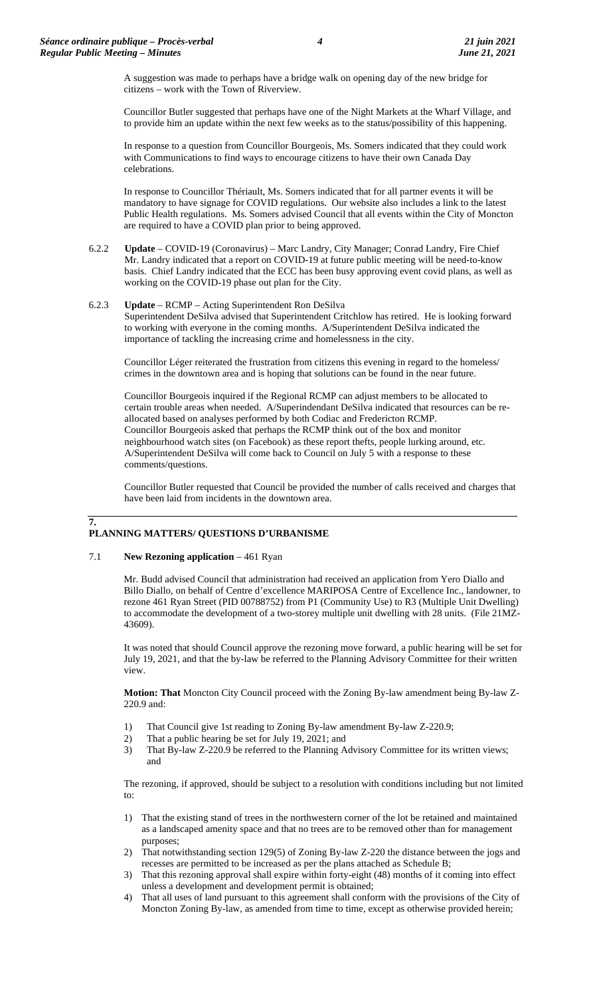A suggestion was made to perhaps have a bridge walk on opening day of the new bridge for citizens – work with the Town of Riverview.

Councillor Butler suggested that perhaps have one of the Night Markets at the Wharf Village, and to provide him an update within the next few weeks as to the status/possibility of this happening.

In response to a question from Councillor Bourgeois, Ms. Somers indicated that they could work with Communications to find ways to encourage citizens to have their own Canada Day celebrations.

In response to Councillor Thériault, Ms. Somers indicated that for all partner events it will be mandatory to have signage for COVID regulations. Our website also includes a link to the latest Public Health regulations. Ms. Somers advised Council that all events within the City of Moncton are required to have a COVID plan prior to being approved.

6.2.2 **Update** – COVID-19 (Coronavirus) – Marc Landry, City Manager; Conrad Landry, Fire Chief Mr. Landry indicated that a report on COVID-19 at future public meeting will be need-to-know basis. Chief Landry indicated that the ECC has been busy approving event covid plans, as well as working on the COVID-19 phase out plan for the City.

#### 6.2.3 **Update** – RCMP – Acting Superintendent Ron DeSilva

Superintendent DeSilva advised that Superintendent Critchlow has retired. He is looking forward to working with everyone in the coming months. A/Superintendent DeSilva indicated the importance of tackling the increasing crime and homelessness in the city.

Councillor Léger reiterated the frustration from citizens this evening in regard to the homeless/ crimes in the downtown area and is hoping that solutions can be found in the near future.

Councillor Bourgeois inquired if the Regional RCMP can adjust members to be allocated to certain trouble areas when needed. A/Superindendant DeSilva indicated that resources can be reallocated based on analyses performed by both Codiac and Fredericton RCMP. Councillor Bourgeois asked that perhaps the RCMP think out of the box and monitor neighbourhood watch sites (on Facebook) as these report thefts, people lurking around, etc. A/Superintendent DeSilva will come back to Council on July 5 with a response to these comments/questions.

Councillor Butler requested that Council be provided the number of calls received and charges that have been laid from incidents in the downtown area.

# **7.**

## **PLANNING MATTERS/ QUESTIONS D'URBANISME**

#### 7.1 **New Rezoning application** – 461 Ryan

Mr. Budd advised Council that administration had received an application from Yero Diallo and Billo Diallo, on behalf of Centre d'excellence MARIPOSA Centre of Excellence Inc., landowner, to rezone 461 Ryan Street (PID 00788752) from P1 (Community Use) to R3 (Multiple Unit Dwelling) to accommodate the development of a two-storey multiple unit dwelling with 28 units. (File 21MZ-43609).

It was noted that should Council approve the rezoning move forward, a public hearing will be set for July 19, 2021, and that the by-law be referred to the Planning Advisory Committee for their written view.

**Motion: That** Moncton City Council proceed with the Zoning By-law amendment being By-law Z-220.9 and:

- 1) That Council give 1st reading to Zoning By-law amendment By-law Z-220.9;
- 2) That a public hearing be set for July 19, 2021; and
- 3) That By-law Z-220.9 be referred to the Planning Advisory Committee for its written views; and

The rezoning, if approved, should be subject to a resolution with conditions including but not limited to:

- 1) That the existing stand of trees in the northwestern corner of the lot be retained and maintained as a landscaped amenity space and that no trees are to be removed other than for management purposes;
- 2) That notwithstanding section 129(5) of Zoning By-law Z-220 the distance between the jogs and recesses are permitted to be increased as per the plans attached as Schedule B;
- 3) That this rezoning approval shall expire within forty-eight (48) months of it coming into effect unless a development and development permit is obtained;
- 4) That all uses of land pursuant to this agreement shall conform with the provisions of the City of Moncton Zoning By-law, as amended from time to time, except as otherwise provided herein;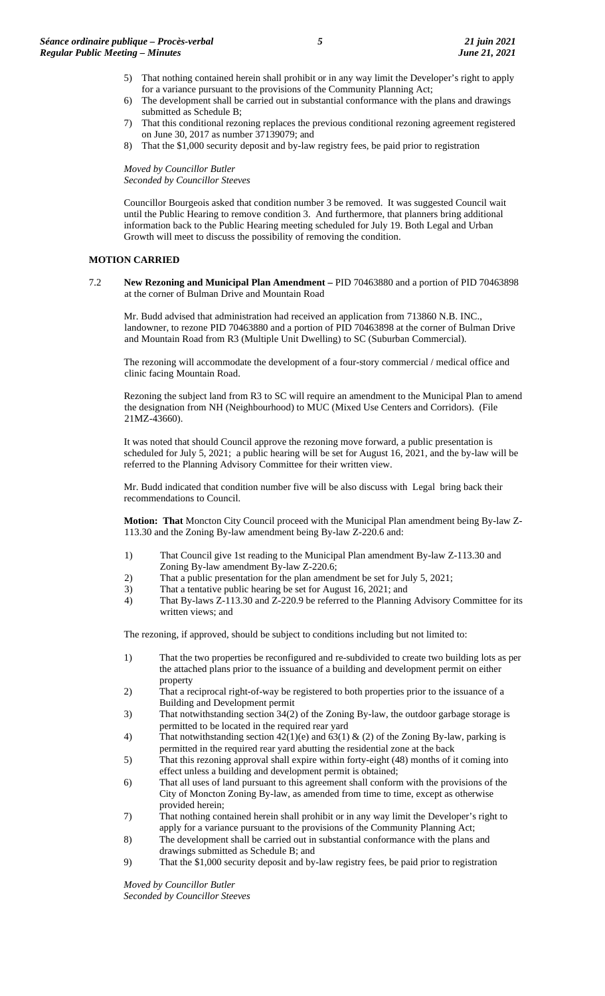- 5) That nothing contained herein shall prohibit or in any way limit the Developer's right to apply for a variance pursuant to the provisions of the Community Planning Act;
- 6) The development shall be carried out in substantial conformance with the plans and drawings submitted as Schedule B;
- 7) That this conditional rezoning replaces the previous conditional rezoning agreement registered on June 30, 2017 as number 37139079; and
- 8) That the \$1,000 security deposit and by-law registry fees, be paid prior to registration

*Moved by Councillor Butler Seconded by Councillor Steeves*

Councillor Bourgeois asked that condition number 3 be removed. It was suggested Council wait until the Public Hearing to remove condition 3. And furthermore, that planners bring additional information back to the Public Hearing meeting scheduled for July 19. Both Legal and Urban Growth will meet to discuss the possibility of removing the condition.

#### **MOTION CARRIED**

7.2 **New Rezoning and Municipal Plan Amendment –** PID 70463880 and a portion of PID 70463898 at the corner of Bulman Drive and Mountain Road

Mr. Budd advised that administration had received an application from 713860 N.B. INC., landowner, to rezone PID 70463880 and a portion of PID 70463898 at the corner of Bulman Drive and Mountain Road from R3 (Multiple Unit Dwelling) to SC (Suburban Commercial).

The rezoning will accommodate the development of a four-story commercial / medical office and clinic facing Mountain Road.

Rezoning the subject land from R3 to SC will require an amendment to the Municipal Plan to amend the designation from NH (Neighbourhood) to MUC (Mixed Use Centers and Corridors). (File 21MZ-43660).

It was noted that should Council approve the rezoning move forward, a public presentation is scheduled for July 5, 2021; a public hearing will be set for August 16, 2021, and the by-law will be referred to the Planning Advisory Committee for their written view.

Mr. Budd indicated that condition number five will be also discuss with Legal bring back their recommendations to Council.

**Motion: That** Moncton City Council proceed with the Municipal Plan amendment being By-law Z-113.30 and the Zoning By-law amendment being By-law Z-220.6 and:

- 1) That Council give 1st reading to the Municipal Plan amendment By-law Z-113.30 and Zoning By-law amendment By-law Z-220.6;
- 2) That a public presentation for the plan amendment be set for July 5, 2021;
- 3) That a tentative public hearing be set for August 16, 2021; and
- 4) That By-laws Z-113.30 and Z-220.9 be referred to the Planning Advisory Committee for its written views: and

The rezoning, if approved, should be subject to conditions including but not limited to:

- 1) That the two properties be reconfigured and re-subdivided to create two building lots as per the attached plans prior to the issuance of a building and development permit on either property
- 2) That a reciprocal right-of-way be registered to both properties prior to the issuance of a Building and Development permit
- 3) That notwithstanding section 34(2) of the Zoning By-law, the outdoor garbage storage is permitted to be located in the required rear yard
- 4) That notwithstanding section  $42(1)(e)$  and  $63(1) \& (2)$  of the Zoning By-law, parking is permitted in the required rear yard abutting the residential zone at the back
- 5) That this rezoning approval shall expire within forty-eight (48) months of it coming into effect unless a building and development permit is obtained;
- 6) That all uses of land pursuant to this agreement shall conform with the provisions of the City of Moncton Zoning By-law, as amended from time to time, except as otherwise provided herein;
- 7) That nothing contained herein shall prohibit or in any way limit the Developer's right to apply for a variance pursuant to the provisions of the Community Planning Act;
- 8) The development shall be carried out in substantial conformance with the plans and drawings submitted as Schedule B; and
- 9) That the \$1,000 security deposit and by-law registry fees, be paid prior to registration

*Moved by Councillor Butler Seconded by Councillor Steeves*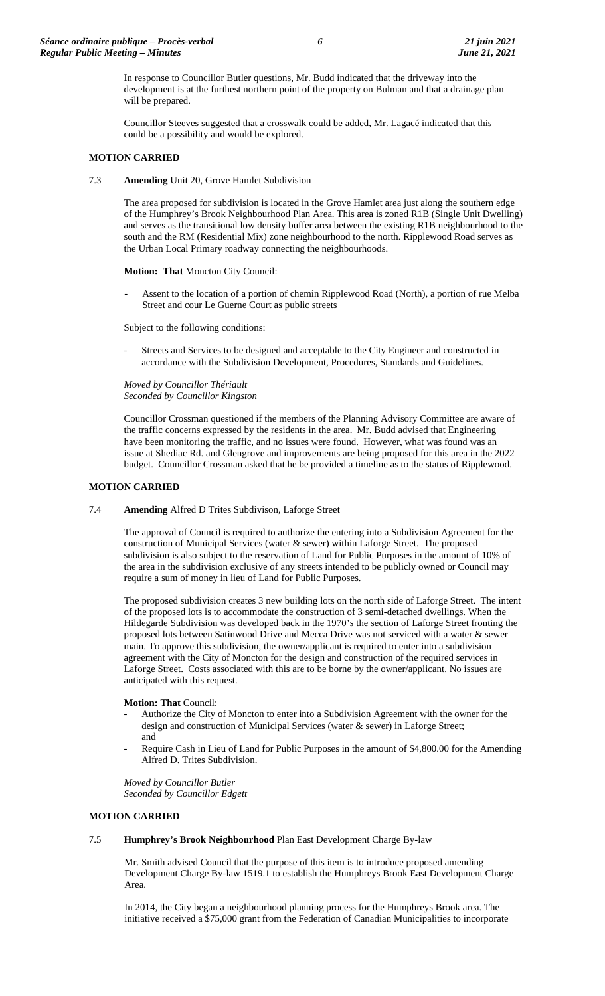In response to Councillor Butler questions, Mr. Budd indicated that the driveway into the development is at the furthest northern point of the property on Bulman and that a drainage plan will be prepared.

Councillor Steeves suggested that a crosswalk could be added, Mr. Lagacé indicated that this could be a possibility and would be explored.

#### **MOTION CARRIED**

7.3 **Amending** Unit 20, Grove Hamlet Subdivision

The area proposed for subdivision is located in the Grove Hamlet area just along the southern edge of the Humphrey's Brook Neighbourhood Plan Area. This area is zoned R1B (Single Unit Dwelling) and serves as the transitional low density buffer area between the existing R1B neighbourhood to the south and the RM (Residential Mix) zone neighbourhood to the north. Ripplewood Road serves as the Urban Local Primary roadway connecting the neighbourhoods.

**Motion: That** Moncton City Council:

Assent to the location of a portion of chemin Ripplewood Road (North), a portion of rue Melba Street and cour Le Guerne Court as public streets

Subject to the following conditions:

Streets and Services to be designed and acceptable to the City Engineer and constructed in accordance with the Subdivision Development, Procedures, Standards and Guidelines.

*Moved by Councillor Thériault Seconded by Councillor Kingston*

Councillor Crossman questioned if the members of the Planning Advisory Committee are aware of the traffic concerns expressed by the residents in the area. Mr. Budd advised that Engineering have been monitoring the traffic, and no issues were found. However, what was found was an issue at Shediac Rd. and Glengrove and improvements are being proposed for this area in the 2022 budget. Councillor Crossman asked that he be provided a timeline as to the status of Ripplewood.

#### **MOTION CARRIED**

7.4 **Amending** Alfred D Trites Subdivison, Laforge Street

The approval of Council is required to authorize the entering into a Subdivision Agreement for the construction of Municipal Services (water & sewer) within Laforge Street. The proposed subdivision is also subject to the reservation of Land for Public Purposes in the amount of 10% of the area in the subdivision exclusive of any streets intended to be publicly owned or Council may require a sum of money in lieu of Land for Public Purposes.

The proposed subdivision creates 3 new building lots on the north side of Laforge Street. The intent of the proposed lots is to accommodate the construction of 3 semi-detached dwellings. When the Hildegarde Subdivision was developed back in the 1970's the section of Laforge Street fronting the proposed lots between Satinwood Drive and Mecca Drive was not serviced with a water & sewer main. To approve this subdivision, the owner/applicant is required to enter into a subdivision agreement with the City of Moncton for the design and construction of the required services in Laforge Street. Costs associated with this are to be borne by the owner/applicant. No issues are anticipated with this request.

#### **Motion: That** Council:

- Authorize the City of Moncton to enter into a Subdivision Agreement with the owner for the design and construction of Municipal Services (water & sewer) in Laforge Street; and
- Require Cash in Lieu of Land for Public Purposes in the amount of \$4,800.00 for the Amending Alfred D. Trites Subdivision.

*Moved by Councillor Butler Seconded by Councillor Edgett*

#### **MOTION CARRIED**

#### 7.5 **Humphrey's Brook Neighbourhood** Plan East Development Charge By-law

Mr. Smith advised Council that the purpose of this item is to introduce proposed amending Development Charge By-law 1519.1 to establish the Humphreys Brook East Development Charge Area.

In 2014, the City began a neighbourhood planning process for the Humphreys Brook area. The initiative received a \$75,000 grant from the Federation of Canadian Municipalities to incorporate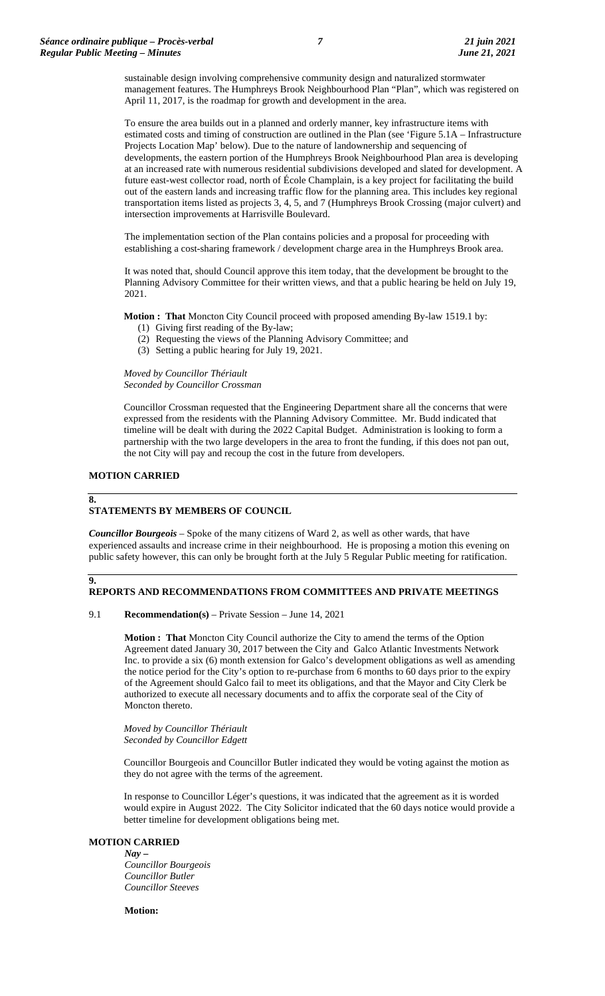sustainable design involving comprehensive community design and naturalized stormwater management features. The Humphreys Brook Neighbourhood Plan "Plan", which was registered on April 11, 2017, is the roadmap for growth and development in the area.

To ensure the area builds out in a planned and orderly manner, key infrastructure items with estimated costs and timing of construction are outlined in the Plan (see 'Figure 5.1A – Infrastructure Projects Location Map' below). Due to the nature of landownership and sequencing of developments, the eastern portion of the Humphreys Brook Neighbourhood Plan area is developing at an increased rate with numerous residential subdivisions developed and slated for development. A future east-west collector road, north of École Champlain, is a key project for facilitating the build out of the eastern lands and increasing traffic flow for the planning area. This includes key regional transportation items listed as projects 3, 4, 5, and 7 (Humphreys Brook Crossing (major culvert) and intersection improvements at Harrisville Boulevard.

The implementation section of the Plan contains policies and a proposal for proceeding with establishing a cost-sharing framework / development charge area in the Humphreys Brook area.

It was noted that, should Council approve this item today, that the development be brought to the Planning Advisory Committee for their written views, and that a public hearing be held on July 19, 2021.

**Motion : That** Moncton City Council proceed with proposed amending By-law 1519.1 by:

- (1) Giving first reading of the By-law;
- (2) Requesting the views of the Planning Advisory Committee; and
- (3) Setting a public hearing for July 19, 2021.

*Moved by Councillor Thériault Seconded by Councillor Crossman*

Councillor Crossman requested that the Engineering Department share all the concerns that were expressed from the residents with the Planning Advisory Committee. Mr. Budd indicated that timeline will be dealt with during the 2022 Capital Budget. Administration is looking to form a partnership with the two large developers in the area to front the funding, if this does not pan out, the not City will pay and recoup the cost in the future from developers.

#### **MOTION CARRIED**

#### **8.**

**9.**

## **STATEMENTS BY MEMBERS OF COUNCIL**

*Councillor Bourgeois* – Spoke of the many citizens of Ward 2, as well as other wards, that have experienced assaults and increase crime in their neighbourhood. He is proposing a motion this evening on public safety however, this can only be brought forth at the July 5 Regular Public meeting for ratification.

## **REPORTS AND RECOMMENDATIONS FROM COMMITTEES AND PRIVATE MEETINGS**

#### 9.1 **Recommendation(s)** – Private Session – June 14, 2021

**Motion : That** Moncton City Council authorize the City to amend the terms of the Option Agreement dated January 30, 2017 between the City and Galco Atlantic Investments Network Inc. to provide a six (6) month extension for Galco's development obligations as well as amending the notice period for the City's option to re-purchase from 6 months to 60 days prior to the expiry of the Agreement should Galco fail to meet its obligations, and that the Mayor and City Clerk be authorized to execute all necessary documents and to affix the corporate seal of the City of Moncton thereto.

*Moved by Councillor Thériault Seconded by Councillor Edgett*

Councillor Bourgeois and Councillor Butler indicated they would be voting against the motion as they do not agree with the terms of the agreement.

In response to Councillor Léger's questions, it was indicated that the agreement as it is worded would expire in August 2022. The City Solicitor indicated that the 60 days notice would provide a better timeline for development obligations being met.

#### **MOTION CARRIED**

*Nay – Councillor Bourgeois Councillor Butler Councillor Steeves*

**Motion:**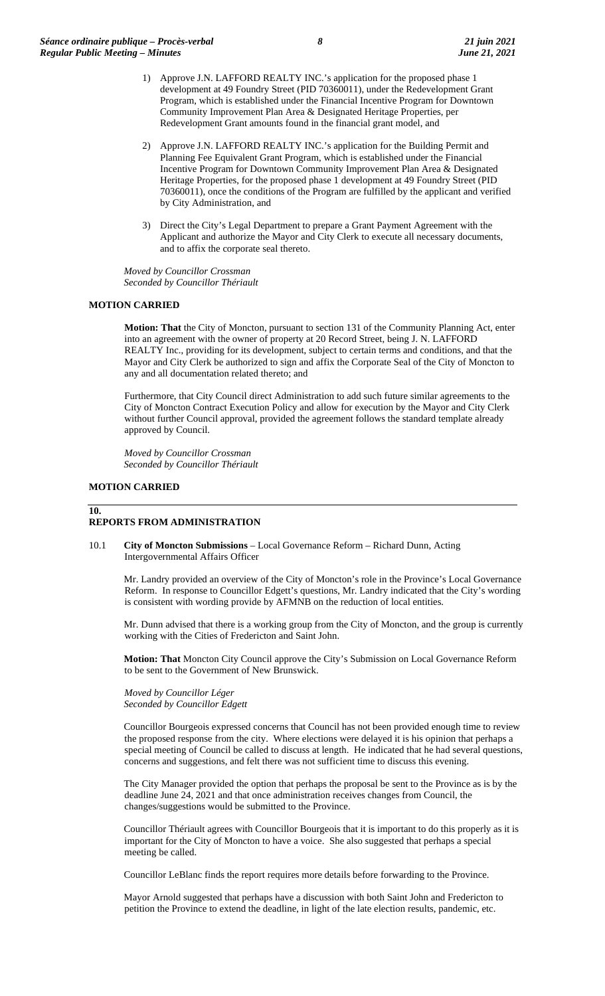- 1) Approve J.N. LAFFORD REALTY INC.'s application for the proposed phase 1 development at 49 Foundry Street (PID 70360011), under the Redevelopment Grant Program, which is established under the Financial Incentive Program for Downtown Community Improvement Plan Area & Designated Heritage Properties, per Redevelopment Grant amounts found in the financial grant model, and
- 2) Approve J.N. LAFFORD REALTY INC.'s application for the Building Permit and Planning Fee Equivalent Grant Program, which is established under the Financial Incentive Program for Downtown Community Improvement Plan Area & Designated Heritage Properties, for the proposed phase 1 development at 49 Foundry Street (PID 70360011), once the conditions of the Program are fulfilled by the applicant and verified by City Administration, and
- 3) Direct the City's Legal Department to prepare a Grant Payment Agreement with the Applicant and authorize the Mayor and City Clerk to execute all necessary documents, and to affix the corporate seal thereto.

*Moved by Councillor Crossman Seconded by Councillor Thériault*

#### **MOTION CARRIED**

**Motion: That** the City of Moncton, pursuant to section 131 of the Community Planning Act, enter into an agreement with the owner of property at 20 Record Street, being J. N. LAFFORD REALTY Inc., providing for its development, subject to certain terms and conditions, and that the Mayor and City Clerk be authorized to sign and affix the Corporate Seal of the City of Moncton to any and all documentation related thereto; and

Furthermore, that City Council direct Administration to add such future similar agreements to the City of Moncton Contract Execution Policy and allow for execution by the Mayor and City Clerk without further Council approval, provided the agreement follows the standard template already approved by Council.

*Moved by Councillor Crossman Seconded by Councillor Thériault*

#### **MOTION CARRIED**

#### **10.**

#### **REPORTS FROM ADMINISTRATION**

10.1 **City of Moncton Submissions** – Local Governance Reform – Richard Dunn, Acting Intergovernmental Affairs Officer

Mr. Landry provided an overview of the City of Moncton's role in the Province's Local Governance Reform. In response to Councillor Edgett's questions, Mr. Landry indicated that the City's wording is consistent with wording provide by AFMNB on the reduction of local entities.

Mr. Dunn advised that there is a working group from the City of Moncton, and the group is currently working with the Cities of Fredericton and Saint John.

**Motion: That** Moncton City Council approve the City's Submission on Local Governance Reform to be sent to the Government of New Brunswick.

*Moved by Councillor Léger Seconded by Councillor Edgett*

Councillor Bourgeois expressed concerns that Council has not been provided enough time to review the proposed response from the city. Where elections were delayed it is his opinion that perhaps a special meeting of Council be called to discuss at length. He indicated that he had several questions, concerns and suggestions, and felt there was not sufficient time to discuss this evening.

The City Manager provided the option that perhaps the proposal be sent to the Province as is by the deadline June 24, 2021 and that once administration receives changes from Council, the changes/suggestions would be submitted to the Province.

Councillor Thériault agrees with Councillor Bourgeois that it is important to do this properly as it is important for the City of Moncton to have a voice. She also suggested that perhaps a special meeting be called.

Councillor LeBlanc finds the report requires more details before forwarding to the Province.

Mayor Arnold suggested that perhaps have a discussion with both Saint John and Fredericton to petition the Province to extend the deadline, in light of the late election results, pandemic, etc.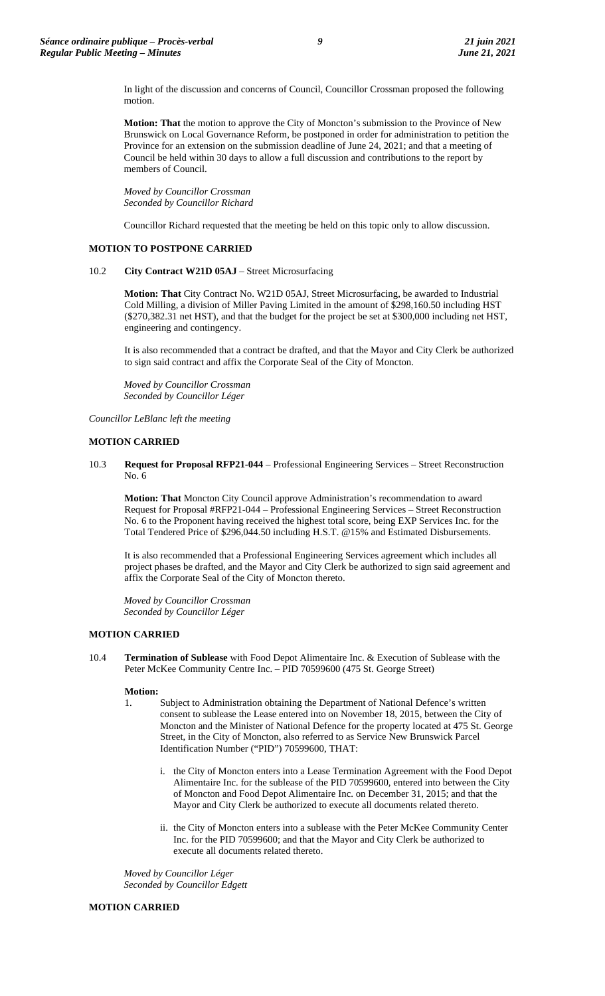In light of the discussion and concerns of Council, Councillor Crossman proposed the following motion.

**Motion: That** the motion to approve the City of Moncton's submission to the Province of New Brunswick on Local Governance Reform, be postponed in order for administration to petition the Province for an extension on the submission deadline of June 24, 2021; and that a meeting of Council be held within 30 days to allow a full discussion and contributions to the report by members of Council.

*Moved by Councillor Crossman Seconded by Councillor Richard*

Councillor Richard requested that the meeting be held on this topic only to allow discussion.

#### **MOTION TO POSTPONE CARRIED**

#### 10.2 **City Contract W21D 05AJ** – Street Microsurfacing

**Motion: That** City Contract No. W21D 05AJ, Street Microsurfacing, be awarded to Industrial Cold Milling, a division of Miller Paving Limited in the amount of \$298,160.50 including HST (\$270,382.31 net HST), and that the budget for the project be set at \$300,000 including net HST, engineering and contingency.

It is also recommended that a contract be drafted, and that the Mayor and City Clerk be authorized to sign said contract and affix the Corporate Seal of the City of Moncton.

*Moved by Councillor Crossman Seconded by Councillor Léger*

*Councillor LeBlanc left the meeting* 

### **MOTION CARRIED**

10.3 **Request for Proposal RFP21-044** – Professional Engineering Services – Street Reconstruction No. 6

**Motion: That** Moncton City Council approve Administration's recommendation to award Request for Proposal #RFP21-044 – Professional Engineering Services – Street Reconstruction No. 6 to the Proponent having received the highest total score, being EXP Services Inc. for the Total Tendered Price of \$296,044.50 including H.S.T. @15% and Estimated Disbursements.

It is also recommended that a Professional Engineering Services agreement which includes all project phases be drafted, and the Mayor and City Clerk be authorized to sign said agreement and affix the Corporate Seal of the City of Moncton thereto.

*Moved by Councillor Crossman Seconded by Councillor Léger*

#### **MOTION CARRIED**

10.4 **Termination of Sublease** with Food Depot Alimentaire Inc. & Execution of Sublease with the Peter McKee Community Centre Inc. – PID 70599600 (475 St. George Street)

#### **Motion:**

- 1. Subject to Administration obtaining the Department of National Defence's written consent to sublease the Lease entered into on November 18, 2015, between the City of Moncton and the Minister of National Defence for the property located at 475 St. George Street, in the City of Moncton, also referred to as Service New Brunswick Parcel Identification Number ("PID") 70599600, THAT:
	- i. the City of Moncton enters into a Lease Termination Agreement with the Food Depot Alimentaire Inc. for the sublease of the PID 70599600, entered into between the City of Moncton and Food Depot Alimentaire Inc. on December 31, 2015; and that the Mayor and City Clerk be authorized to execute all documents related thereto.
	- ii. the City of Moncton enters into a sublease with the Peter McKee Community Center Inc. for the PID 70599600; and that the Mayor and City Clerk be authorized to execute all documents related thereto.

*Moved by Councillor Léger Seconded by Councillor Edgett*

#### **MOTION CARRIED**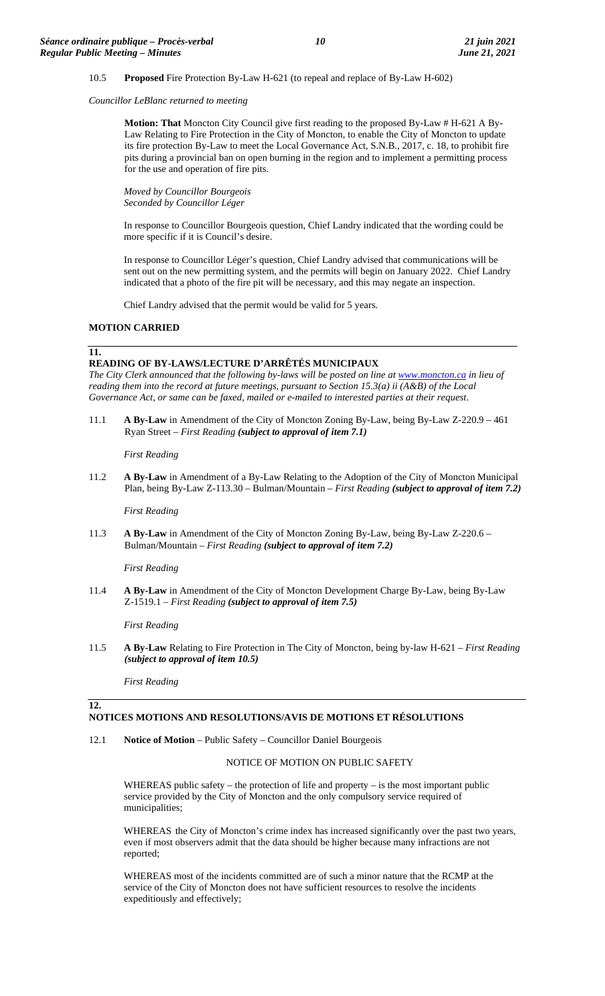#### 10.5 **Proposed** Fire Protection By-Law H-621 (to repeal and replace of By-Law H-602)

*Councillor LeBlanc returned to meeting*

**Motion: That** Moncton City Council give first reading to the proposed By-Law # H-621 A By-Law Relating to Fire Protection in the City of Moncton, to enable the City of Moncton to update its fire protection By-Law to meet the Local Governance Act, S.N.B., 2017, c. 18, to prohibit fire pits during a provincial ban on open burning in the region and to implement a permitting process for the use and operation of fire pits.

*Moved by Councillor Bourgeois Seconded by Councillor Léger*

In response to Councillor Bourgeois question, Chief Landry indicated that the wording could be more specific if it is Council's desire.

In response to Councillor Léger's question, Chief Landry advised that communications will be sent out on the new permitting system, and the permits will begin on January 2022. Chief Landry indicated that a photo of the fire pit will be necessary, and this may negate an inspection.

Chief Landry advised that the permit would be valid for 5 years.

#### **MOTION CARRIED**

#### **11.**

## **READING OF BY-LAWS/LECTURE D'ARRÊTÉS MUNICIPAUX**

*The City Clerk announced that the following by-laws will be posted on line at [www.moncton.ca](http://www.moncton.ca/) in lieu of reading them into the record at future meetings, pursuant to Section 15.3(a) ii (A&B) of the Local Governance Act, or same can be faxed, mailed or e-mailed to interested parties at their request*.

11.1 **A By-Law** in Amendment of the City of Moncton Zoning By-Law, being By-Law Z-220.9 – 461 Ryan Street – *First Reading (subject to approval of item 7.1)*

*First Reading*

11.2 **A By-Law** in Amendment of a By-Law Relating to the Adoption of the City of Moncton Municipal Plan, being By-Law Z-113.30 – Bulman/Mountain – *First Reading (subject to approval of item 7.2)*

*First Reading*

11.3 **A By-Law** in Amendment of the City of Moncton Zoning By-Law, being By-Law Z-220.6 – Bulman/Mountain – *First Reading (subject to approval of item 7.2)*

*First Reading*

11.4 **A By-Law** in Amendment of the City of Moncton Development Charge By-Law, being By-Law Z-1519.1 – *First Reading (subject to approval of item 7.5)*

*First Reading*

11.5 **A By-Law** Relating to Fire Protection in The City of Moncton, being by-law H-621 – *First Reading (subject to approval of item 10.5)*

*First Reading*

**12.**

## **NOTICES MOTIONS AND RESOLUTIONS/AVIS DE MOTIONS ET RÉSOLUTIONS**

12.1 **Notice of Motion** – Public Safety – Councillor Daniel Bourgeois

#### NOTICE OF MOTION ON PUBLIC SAFETY

WHEREAS public safety – the protection of life and property – is the most important public service provided by the City of Moncton and the only compulsory service required of municipalities;

WHEREAS the City of Moncton's crime index has increased significantly over the past two years, even if most observers admit that the data should be higher because many infractions are not reported;

WHEREAS most of the incidents committed are of such a minor nature that the RCMP at the service of the City of Moncton does not have sufficient resources to resolve the incidents expeditiously and effectively;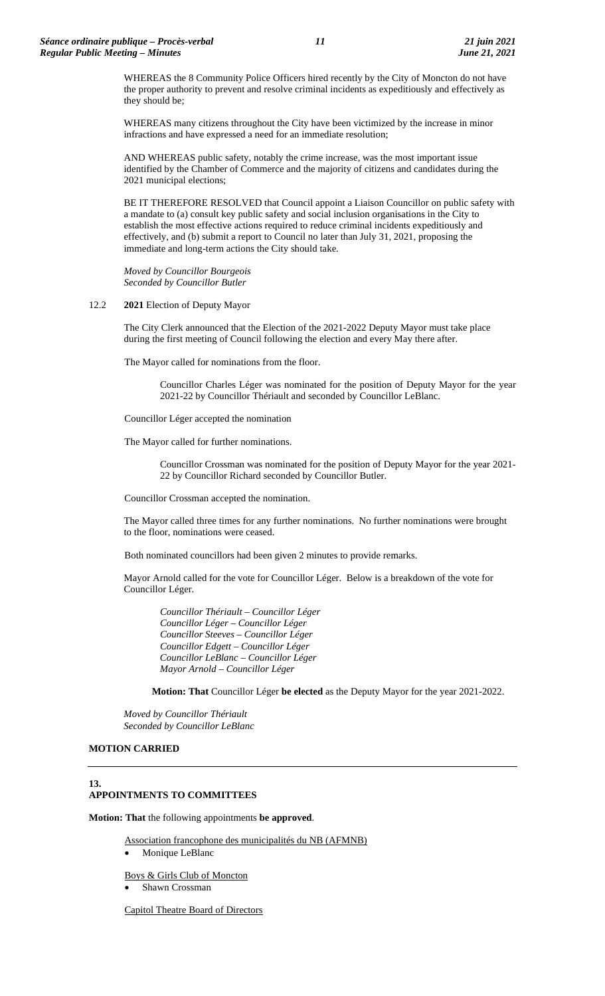WHEREAS the 8 Community Police Officers hired recently by the City of Moncton do not have the proper authority to prevent and resolve criminal incidents as expeditiously and effectively as they should be;

WHEREAS many citizens throughout the City have been victimized by the increase in minor infractions and have expressed a need for an immediate resolution;

AND WHEREAS public safety, notably the crime increase, was the most important issue identified by the Chamber of Commerce and the majority of citizens and candidates during the 2021 municipal elections;

BE IT THEREFORE RESOLVED that Council appoint a Liaison Councillor on public safety with a mandate to (a) consult key public safety and social inclusion organisations in the City to establish the most effective actions required to reduce criminal incidents expeditiously and effectively, and (b) submit a report to Council no later than July 31, 2021, proposing the immediate and long-term actions the City should take.

*Moved by Councillor Bourgeois Seconded by Councillor Butler*

#### 12.2 **2021** Election of Deputy Mayor

The City Clerk announced that the Election of the 2021-2022 Deputy Mayor must take place during the first meeting of Council following the election and every May there after.

The Mayor called for nominations from the floor.

Councillor Charles Léger was nominated for the position of Deputy Mayor for the year 2021-22 by Councillor Thériault and seconded by Councillor LeBlanc.

Councillor Léger accepted the nomination

The Mayor called for further nominations.

Councillor Crossman was nominated for the position of Deputy Mayor for the year 2021- 22 by Councillor Richard seconded by Councillor Butler.

Councillor Crossman accepted the nomination.

The Mayor called three times for any further nominations. No further nominations were brought to the floor, nominations were ceased.

Both nominated councillors had been given 2 minutes to provide remarks.

Mayor Arnold called for the vote for Councillor Léger. Below is a breakdown of the vote for Councillor Léger.

*Councillor Thériault – Councillor Léger Councillor Léger – Councillor Léger Councillor Steeves – Councillor Léger Councillor Edgett – Councillor Léger Councillor LeBlanc – Councillor Léger Mayor Arnold – Councillor Léger*

**Motion: That** Councillor Léger **be elected** as the Deputy Mayor for the year 2021-2022.

*Moved by Councillor Thériault Seconded by Councillor LeBlanc*

#### **MOTION CARRIED**

### **13. APPOINTMENTS TO COMMITTEES**

**Motion: That** the following appointments **be approved**.

Association francophone des municipalités du NB (AFMNB)

Monique LeBlanc

Boys & Girls Club of Moncton • Shawn Crossman

Capitol Theatre Board of Directors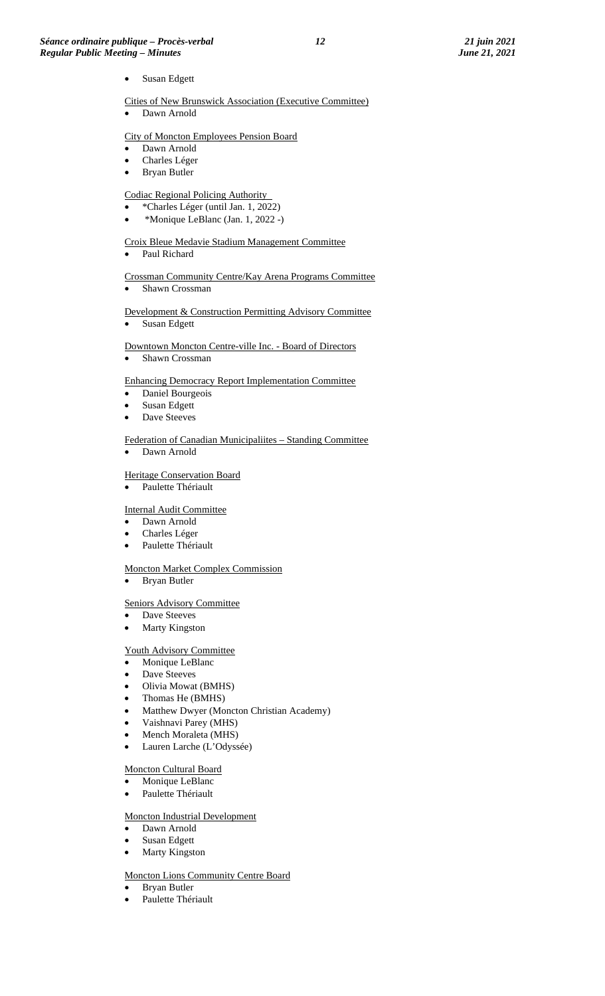Susan Edgett

Cities of New Brunswick Association (Executive Committee)

• Dawn Arnold

## City of Moncton Employees Pension Board

- Dawn Arnold
- Charles Léger
- Bryan Butler

## Codiac Regional Policing Authority

- \*Charles Léger (until Jan. 1, 2022)
- \*Monique LeBlanc (Jan. 1, 2022 -)

#### Croix Bleue Medavie Stadium Management Committee

Paul Richard

# Crossman Community Centre/Kay Arena Programs Committee

Shawn Crossman

# Development & Construction Permitting Advisory Committee

• Susan Edgett

#### Downtown Moncton Centre-ville Inc. - Board of Directors

Shawn Crossman

#### Enhancing Democracy Report Implementation Committee

- Daniel Bourgeois
- Susan Edgett
- Dave Steeves

#### Federation of Canadian Municipaliites – Standing Committee

• Dawn Arnold

#### Heritage Conservation Board

• Paulette Thériault

#### Internal Audit Committee

- Dawn Arnold
- Charles Léger
- Paulette Thériault

#### Moncton Market Complex Commission

• Bryan Butler

#### Seniors Advisory Committee

- Dave Steeves
- **Marty Kingston**

## Youth Advisory Committee

- Monique LeBlanc
- Dave Steeves
- Olivia Mowat (BMHS)
- Thomas He (BMHS)
- Matthew Dwyer (Moncton Christian Academy)
- Vaishnavi Parey (MHS)
- Mench Moraleta (MHS)
- Lauren Larche (L'Odyssée)

## Moncton Cultural Board

- Monique LeBlanc
- Paulette Thériault

### Moncton Industrial Development

- Dawn Arnold
- Susan Edgett
- Marty Kingston

#### Moncton Lions Community Centre Board

- Bryan Butler
- Paulette Thériault